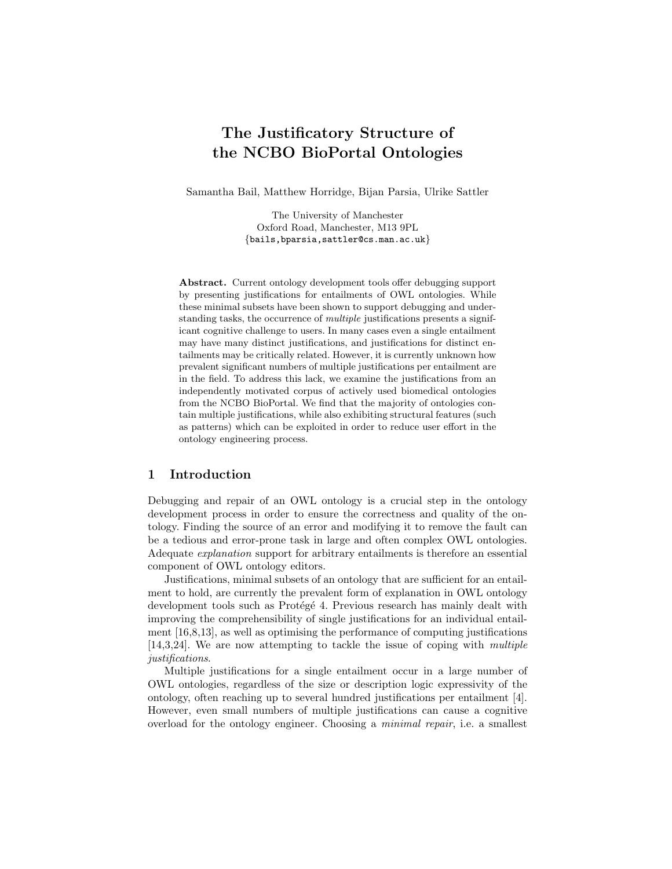# The Justificatory Structure of the NCBO BioPortal Ontologies

Samantha Bail, Matthew Horridge, Bijan Parsia, Ulrike Sattler

The University of Manchester Oxford Road, Manchester, M13 9PL {bails,bparsia,sattler@cs.man.ac.uk}

Abstract. Current ontology development tools offer debugging support by presenting justifications for entailments of OWL ontologies. While these minimal subsets have been shown to support debugging and understanding tasks, the occurrence of *multiple* justifications presents a significant cognitive challenge to users. In many cases even a single entailment may have many distinct justifications, and justifications for distinct entailments may be critically related. However, it is currently unknown how prevalent significant numbers of multiple justifications per entailment are in the field. To address this lack, we examine the justifications from an independently motivated corpus of actively used biomedical ontologies from the NCBO BioPortal. We find that the majority of ontologies contain multiple justifications, while also exhibiting structural features (such as patterns) which can be exploited in order to reduce user effort in the ontology engineering process.

## 1 Introduction

Debugging and repair of an OWL ontology is a crucial step in the ontology development process in order to ensure the correctness and quality of the ontology. Finding the source of an error and modifying it to remove the fault can be a tedious and error-prone task in large and often complex OWL ontologies. Adequate explanation support for arbitrary entailments is therefore an essential component of OWL ontology editors.

Justifications, minimal subsets of an ontology that are sufficient for an entailment to hold, are currently the prevalent form of explanation in OWL ontology development tools such as Protégé 4. Previous research has mainly dealt with improving the comprehensibility of single justifications for an individual entailment [16,8,13], as well as optimising the performance of computing justifications [14,3,24]. We are now attempting to tackle the issue of coping with multiple justifications.

Multiple justifications for a single entailment occur in a large number of OWL ontologies, regardless of the size or description logic expressivity of the ontology, often reaching up to several hundred justifications per entailment [4]. However, even small numbers of multiple justifications can cause a cognitive overload for the ontology engineer. Choosing a minimal repair, i.e. a smallest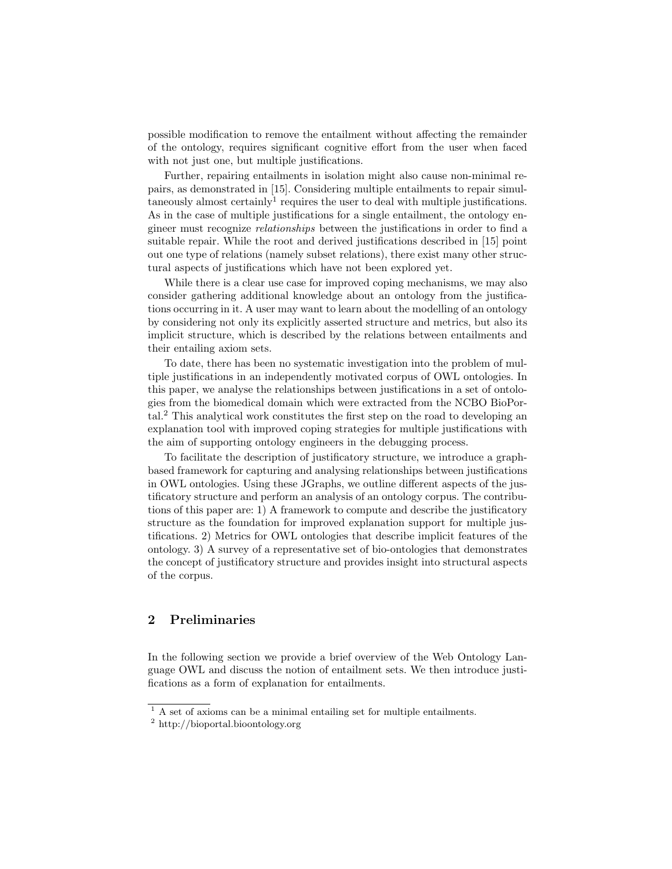possible modification to remove the entailment without affecting the remainder of the ontology, requires significant cognitive effort from the user when faced with not just one, but multiple justifications.

Further, repairing entailments in isolation might also cause non-minimal repairs, as demonstrated in [15]. Considering multiple entailments to repair simul- $\alpha$  taneously almost certainly<sup>1</sup> requires the user to deal with multiple justifications. As in the case of multiple justifications for a single entailment, the ontology engineer must recognize relationships between the justifications in order to find a suitable repair. While the root and derived justifications described in [15] point out one type of relations (namely subset relations), there exist many other structural aspects of justifications which have not been explored yet.

While there is a clear use case for improved coping mechanisms, we may also consider gathering additional knowledge about an ontology from the justifications occurring in it. A user may want to learn about the modelling of an ontology by considering not only its explicitly asserted structure and metrics, but also its implicit structure, which is described by the relations between entailments and their entailing axiom sets.

To date, there has been no systematic investigation into the problem of multiple justifications in an independently motivated corpus of OWL ontologies. In this paper, we analyse the relationships between justifications in a set of ontologies from the biomedical domain which were extracted from the NCBO BioPortal.<sup>2</sup> This analytical work constitutes the first step on the road to developing an explanation tool with improved coping strategies for multiple justifications with the aim of supporting ontology engineers in the debugging process.

To facilitate the description of justificatory structure, we introduce a graphbased framework for capturing and analysing relationships between justifications in OWL ontologies. Using these JGraphs, we outline different aspects of the justificatory structure and perform an analysis of an ontology corpus. The contributions of this paper are: 1) A framework to compute and describe the justificatory structure as the foundation for improved explanation support for multiple justifications. 2) Metrics for OWL ontologies that describe implicit features of the ontology. 3) A survey of a representative set of bio-ontologies that demonstrates the concept of justificatory structure and provides insight into structural aspects of the corpus.

# 2 Preliminaries

In the following section we provide a brief overview of the Web Ontology Language OWL and discuss the notion of entailment sets. We then introduce justifications as a form of explanation for entailments.

<sup>&</sup>lt;sup>1</sup> A set of axioms can be a minimal entailing set for multiple entailments.

<sup>2</sup> http://bioportal.bioontology.org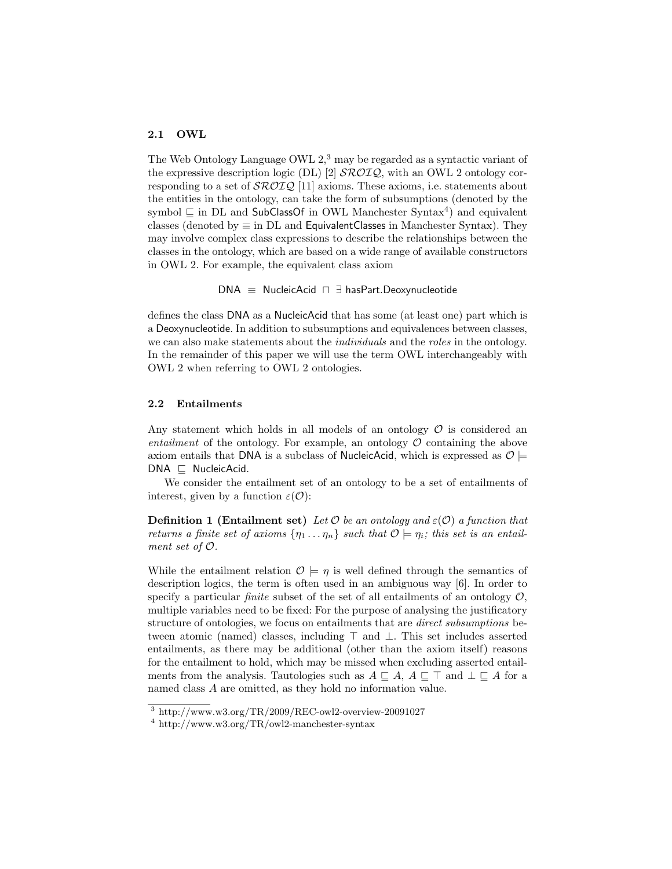## 2.1 OWL

The Web Ontology Language OWL  $2<sup>3</sup>$  may be regarded as a syntactic variant of the expressive description logic (DL) [2]  $\mathcal{SROIQ}$ , with an OWL 2 ontology corresponding to a set of  $\mathcal{SROTQ}$  [11] axioms. These axioms, i.e. statements about the entities in the ontology, can take the form of subsumptions (denoted by the symbol  $\subseteq$  in DL and SubClassOf in OWL Manchester Syntax<sup>4</sup>) and equivalent classes (denoted by  $\equiv$  in DL and EquivalentClasses in Manchester Syntax). They may involve complex class expressions to describe the relationships between the classes in the ontology, which are based on a wide range of available constructors in OWL 2. For example, the equivalent class axiom

DNA ≡ NucleicAcid  $\Box$  ∃ hasPart.Deoxynucleotide

defines the class DNA as a NucleicAcid that has some (at least one) part which is a Deoxynucleotide. In addition to subsumptions and equivalences between classes, we can also make statements about the *individuals* and the *roles* in the ontology. In the remainder of this paper we will use the term OWL interchangeably with OWL 2 when referring to OWL 2 ontologies.

## 2.2 Entailments

Any statement which holds in all models of an ontology  $\mathcal O$  is considered an entailment of the ontology. For example, an ontology  $\mathcal O$  containing the above axiom entails that DNA is a subclass of NucleicAcid, which is expressed as  $\mathcal{O} \models$  $DNA \nightharpoonup NucleicAcid.$ 

We consider the entailment set of an ontology to be a set of entailments of interest, given by a function  $\varepsilon(\mathcal{O})$ :

**Definition 1 (Entailment set)** Let  $\mathcal O$  be an ontology and  $\varepsilon(\mathcal O)$  a function that returns a finite set of axioms  $\{\eta_1 \dots \eta_n\}$  such that  $\mathcal{O} \models \eta_i$ ; this set is an entailment set of O.

While the entailment relation  $\mathcal{O} \models \eta$  is well defined through the semantics of description logics, the term is often used in an ambiguous way [6]. In order to specify a particular *finite* subset of the set of all entailments of an ontology  $\mathcal{O}$ , multiple variables need to be fixed: For the purpose of analysing the justificatory structure of ontologies, we focus on entailments that are *direct subsumptions* between atomic (named) classes, including  $\top$  and  $\bot$ . This set includes asserted entailments, as there may be additional (other than the axiom itself) reasons for the entailment to hold, which may be missed when excluding asserted entailments from the analysis. Tautologies such as  $A \subseteq A$ ,  $A \subseteq \top$  and  $\bot \subseteq A$  for a named class A are omitted, as they hold no information value.

 $3 \text{ http://www.w3.org/TR/2009/REC-ow12-overview-20091027}$ 

<sup>4</sup> http://www.w3.org/TR/owl2-manchester-syntax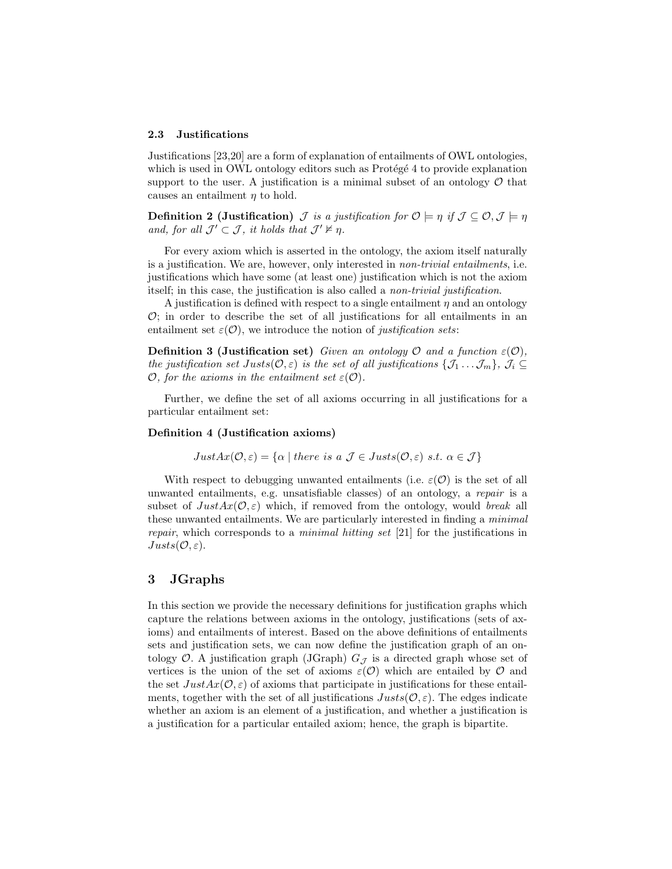#### 2.3 Justifications

Justifications [23,20] are a form of explanation of entailments of OWL ontologies, which is used in OWL ontology editors such as Protégé 4 to provide explanation support to the user. A justification is a minimal subset of an ontology  $\mathcal O$  that causes an entailment  $\eta$  to hold.

**Definition 2 (Justification)**  $\mathcal J$  is a justification for  $\mathcal O \models \eta$  if  $\mathcal J \subseteq \mathcal O, \mathcal J \models \eta$ and, for all  $\mathcal{J}' \subset \mathcal{J}$ , it holds that  $\mathcal{J}' \nvDash \eta$ .

For every axiom which is asserted in the ontology, the axiom itself naturally is a justification. We are, however, only interested in non-trivial entailments, i.e. justifications which have some (at least one) justification which is not the axiom itself; in this case, the justification is also called a non-trivial justification.

A justification is defined with respect to a single entailment  $\eta$  and an ontology  $\mathcal{O}$ ; in order to describe the set of all justifications for all entailments in an entailment set  $\varepsilon(\mathcal{O})$ , we introduce the notion of *justification sets*:

Definition 3 (Justification set) Given an ontology  $\mathcal O$  and a function  $\varepsilon(\mathcal O)$ , the justification set  $Justs(\mathcal{O},\varepsilon)$  is the set of all justifications  $\{\mathcal{J}_1 \dots \mathcal{J}_m\}, \mathcal{J}_i \subseteq$  $\mathcal{O}$ , for the axioms in the entailment set  $\varepsilon(\mathcal{O})$ .

Further, we define the set of all axioms occurring in all justifications for a particular entailment set:

#### Definition 4 (Justification axioms)

$$
JustAx(\mathcal{O},\varepsilon) = \{ \alpha \mid there \ is \ a \ \mathcal{J} \in Justs(\mathcal{O},\varepsilon) \ s.t. \ \alpha \in \mathcal{J} \}
$$

With respect to debugging unwanted entailments (i.e.  $\varepsilon(\mathcal{O})$  is the set of all unwanted entailments, e.g. unsatisfiable classes) of an ontology, a repair is a subset of  $JustAx(\mathcal{O},\varepsilon)$  which, if removed from the ontology, would break all these unwanted entailments. We are particularly interested in finding a minimal repair, which corresponds to a minimal hitting set [21] for the justifications in  $Justs(\mathcal{O},\varepsilon).$ 

# 3 JGraphs

In this section we provide the necessary definitions for justification graphs which capture the relations between axioms in the ontology, justifications (sets of axioms) and entailments of interest. Based on the above definitions of entailments sets and justification sets, we can now define the justification graph of an ontology O. A justification graph (JGraph)  $G_{\mathcal{J}}$  is a directed graph whose set of vertices is the union of the set of axioms  $\varepsilon(\mathcal{O})$  which are entailed by  $\mathcal O$  and the set  $JustAx(\mathcal{O},\varepsilon)$  of axioms that participate in justifications for these entailments, together with the set of all justifications  $Justs(\mathcal{O}, \varepsilon)$ . The edges indicate whether an axiom is an element of a justification, and whether a justification is a justification for a particular entailed axiom; hence, the graph is bipartite.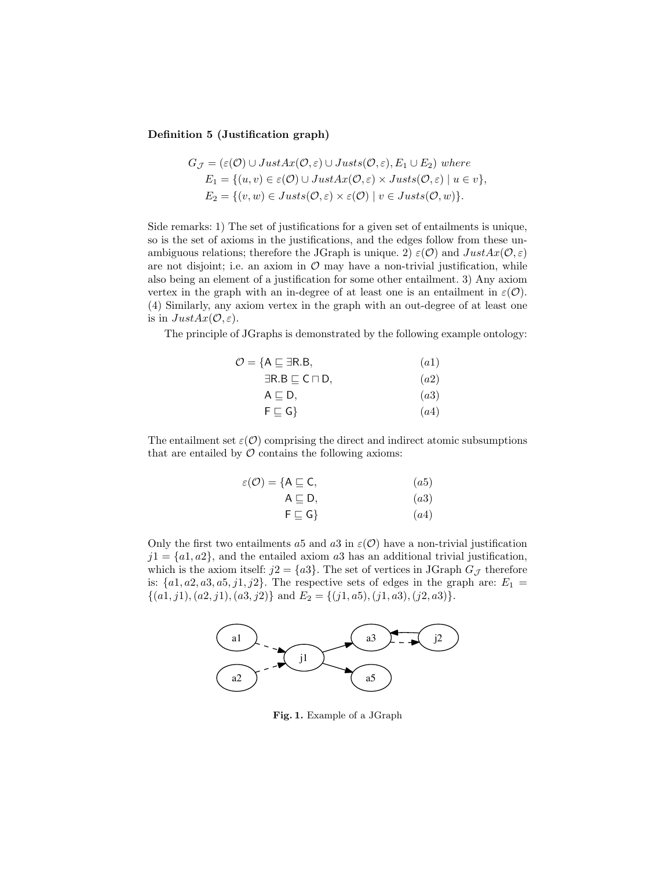#### Definition 5 (Justification graph)

$$
G_{\mathcal{J}} = (\varepsilon(\mathcal{O}) \cup JustAx(\mathcal{O}, \varepsilon) \cup Justs(\mathcal{O}, \varepsilon), E_1 \cup E_2) \text{ where}
$$
  
\n
$$
E_1 = \{(u, v) \in \varepsilon(\mathcal{O}) \cup JustAx(\mathcal{O}, \varepsilon) \times Justs(\mathcal{O}, \varepsilon) \mid u \in v\},
$$
  
\n
$$
E_2 = \{(v, w) \in Justs(\mathcal{O}, \varepsilon) \times \varepsilon(\mathcal{O}) \mid v \in Justs(\mathcal{O}, w)\}.
$$

Side remarks: 1) The set of justifications for a given set of entailments is unique, so is the set of axioms in the justifications, and the edges follow from these unambiguous relations; therefore the JGraph is unique. 2)  $\varepsilon(\mathcal{O})$  and  $JustAx(\mathcal{O},\varepsilon)$ are not disjoint; i.e. an axiom in  $\mathcal O$  may have a non-trivial justification, while also being an element of a justification for some other entailment. 3) Any axiom vertex in the graph with an in-degree of at least one is an entailment in  $\varepsilon(\mathcal{O})$ . (4) Similarly, any axiom vertex in the graph with an out-degree of at least one is in  $JustAx(\mathcal{O},\varepsilon)$ .

The principle of JGraphs is demonstrated by the following example ontology:

| $\mathcal{O} = \{A \sqsubseteq \exists R.B,$ | (a1) |
|----------------------------------------------|------|
| $\exists$ R.B $\sqsubseteq$ C $\sqcap$ D,    | (a2) |
| $A \sqsubset D$ ,                            | (a3) |
| $F \sqsubseteq G$                            | (a4) |

The entailment set  $\varepsilon(\mathcal{O})$  comprising the direct and indirect atomic subsumptions that are entailed by  $\mathcal O$  contains the following axioms:

$$
\varepsilon(\mathcal{O}) = \{ A \sqsubseteq C, \qquad (a5)
$$
  
 
$$
A \sqsubseteq D, \qquad (a3)
$$
  
 
$$
F \sqsubseteq G \} \qquad (a4)
$$

Only the first two entailments a5 and a3 in  $\varepsilon(\mathcal{O})$  have a non-trivial justification  $j1 = \{a1, a2\}$ , and the entailed axiom a3 has an additional trivial justification, which is the axiom itself:  $j2 = \{a3\}$ . The set of vertices in JGraph  $G_{\mathcal{J}}$  therefore is:  $\{a1, a2, a3, a5, j1, j2\}$ . The respective sets of edges in the graph are:  $E_1 =$  $\{(a1, j1), (a2, j1), (a3, j2)\}\$ and  $E_2 = \{(j1, a5), (j1, a3), (j2, a3)\}.$ 



Fig. 1. Example of a JGraph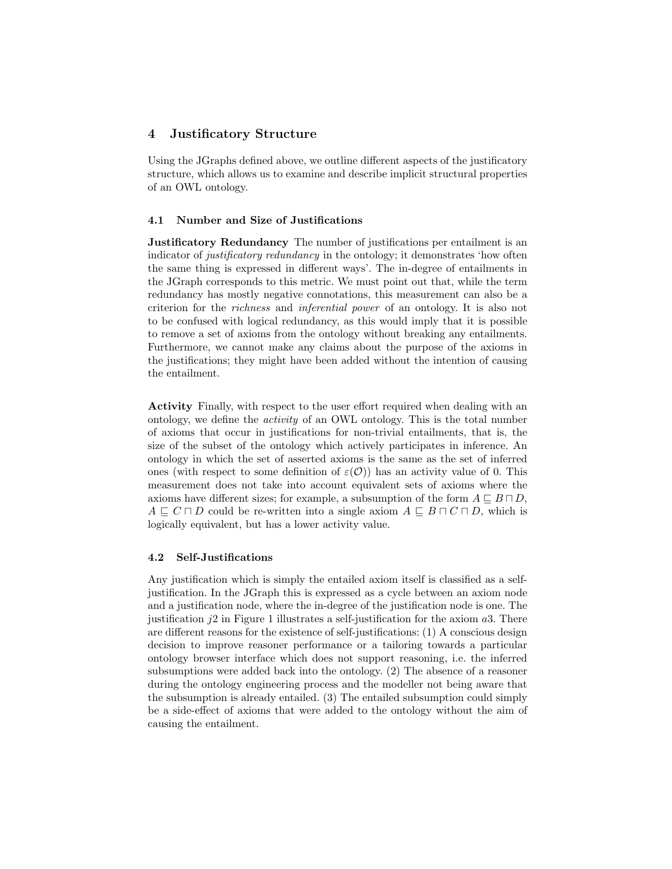## 4 Justificatory Structure

Using the JGraphs defined above, we outline different aspects of the justificatory structure, which allows us to examine and describe implicit structural properties of an OWL ontology.

#### 4.1 Number and Size of Justifications

Justificatory Redundancy The number of justifications per entailment is an indicator of *justificatory redundancy* in the ontology; it demonstrates 'how often the same thing is expressed in different ways'. The in-degree of entailments in the JGraph corresponds to this metric. We must point out that, while the term redundancy has mostly negative connotations, this measurement can also be a criterion for the richness and inferential power of an ontology. It is also not to be confused with logical redundancy, as this would imply that it is possible to remove a set of axioms from the ontology without breaking any entailments. Furthermore, we cannot make any claims about the purpose of the axioms in the justifications; they might have been added without the intention of causing the entailment.

Activity Finally, with respect to the user effort required when dealing with an ontology, we define the activity of an OWL ontology. This is the total number of axioms that occur in justifications for non-trivial entailments, that is, the size of the subset of the ontology which actively participates in inference. An ontology in which the set of asserted axioms is the same as the set of inferred ones (with respect to some definition of  $\varepsilon(\mathcal{O})$ ) has an activity value of 0. This measurement does not take into account equivalent sets of axioms where the axioms have different sizes; for example, a subsumption of the form  $A \sqsubset B \sqcap D$ ,  $A \subseteq C \sqcap D$  could be re-written into a single axiom  $A \subseteq B \sqcap C \sqcap D$ , which is logically equivalent, but has a lower activity value.

#### 4.2 Self-Justifications

Any justification which is simply the entailed axiom itself is classified as a selfjustification. In the JGraph this is expressed as a cycle between an axiom node and a justification node, where the in-degree of the justification node is one. The justification  $i^2$  in Figure 1 illustrates a self-justification for the axiom a3. There are different reasons for the existence of self-justifications: (1) A conscious design decision to improve reasoner performance or a tailoring towards a particular ontology browser interface which does not support reasoning, i.e. the inferred subsumptions were added back into the ontology. (2) The absence of a reasoner during the ontology engineering process and the modeller not being aware that the subsumption is already entailed. (3) The entailed subsumption could simply be a side-effect of axioms that were added to the ontology without the aim of causing the entailment.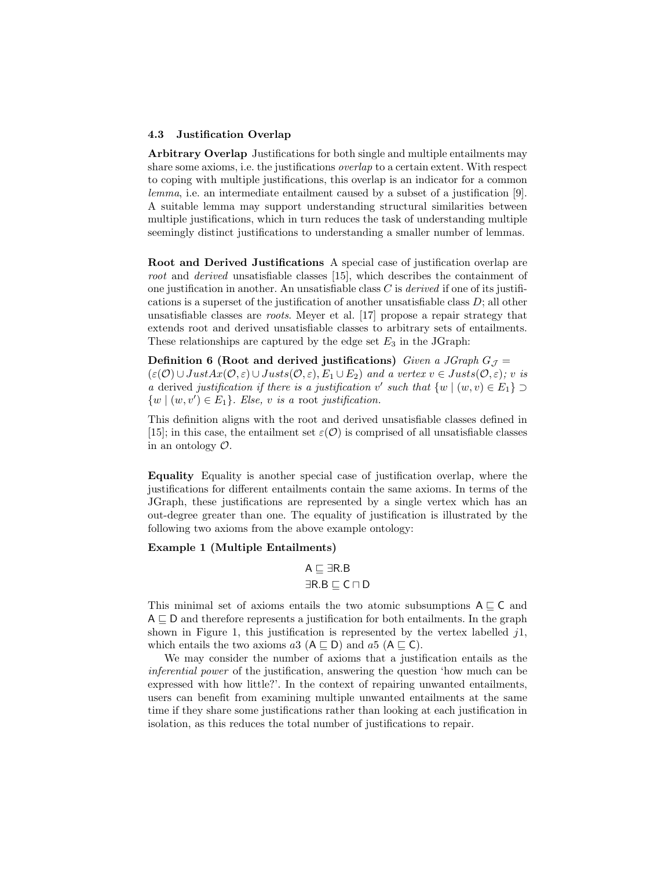## 4.3 Justification Overlap

Arbitrary Overlap Justifications for both single and multiple entailments may share some axioms, i.e. the justifications overlap to a certain extent. With respect to coping with multiple justifications, this overlap is an indicator for a common lemma, i.e. an intermediate entailment caused by a subset of a justification [9]. A suitable lemma may support understanding structural similarities between multiple justifications, which in turn reduces the task of understanding multiple seemingly distinct justifications to understanding a smaller number of lemmas.

Root and Derived Justifications A special case of justification overlap are root and derived unsatisfiable classes [15], which describes the containment of one justification in another. An unsatisfiable class  $C$  is *derived* if one of its justifications is a superset of the justification of another unsatisfiable class  $D$ ; all other unsatisfiable classes are roots. Meyer et al. [17] propose a repair strategy that extends root and derived unsatisfiable classes to arbitrary sets of entailments. These relationships are captured by the edge set  $E_3$  in the JGraph:

Definition 6 (Root and derived justifications) Given a JGraph  $G_{\mathcal{J}} =$  $(\varepsilon(\mathcal{O}) \cup JustAx(\mathcal{O},\varepsilon) \cup Justs(\mathcal{O},\varepsilon), E_1 \cup E_2)$  and a vertex  $v \in Justs(\mathcal{O},\varepsilon); v$  is a derived justification if there is a justification v' such that  $\{w \mid (w, v) \in E_1\}$  $\{w \mid (w, v') \in E_1\}$ . Else, v is a root justification.

This definition aligns with the root and derived unsatisfiable classes defined in [15]; in this case, the entailment set  $\varepsilon(\mathcal{O})$  is comprised of all unsatisfiable classes in an ontology  $\mathcal{O}$ .

Equality Equality is another special case of justification overlap, where the justifications for different entailments contain the same axioms. In terms of the JGraph, these justifications are represented by a single vertex which has an out-degree greater than one. The equality of justification is illustrated by the following two axioms from the above example ontology:

## Example 1 (Multiple Entailments)

$$
A \sqsubseteq \exists R.B
$$
  

$$
\exists R.B \sqsubseteq C \sqcap
$$

 $D$ 

This minimal set of axioms entails the two atomic subsumptions  $A \sqsubseteq C$  and  $A \sqsubseteq D$  and therefore represents a justification for both entailments. In the graph shown in Figure 1, this justification is represented by the vertex labelled  $j1$ , which entails the two axioms a3 ( $A \sqsubseteq D$ ) and a5 ( $A \sqsubseteq C$ ).

We may consider the number of axioms that a justification entails as the inferential power of the justification, answering the question 'how much can be expressed with how little?'. In the context of repairing unwanted entailments, users can benefit from examining multiple unwanted entailments at the same time if they share some justifications rather than looking at each justification in isolation, as this reduces the total number of justifications to repair.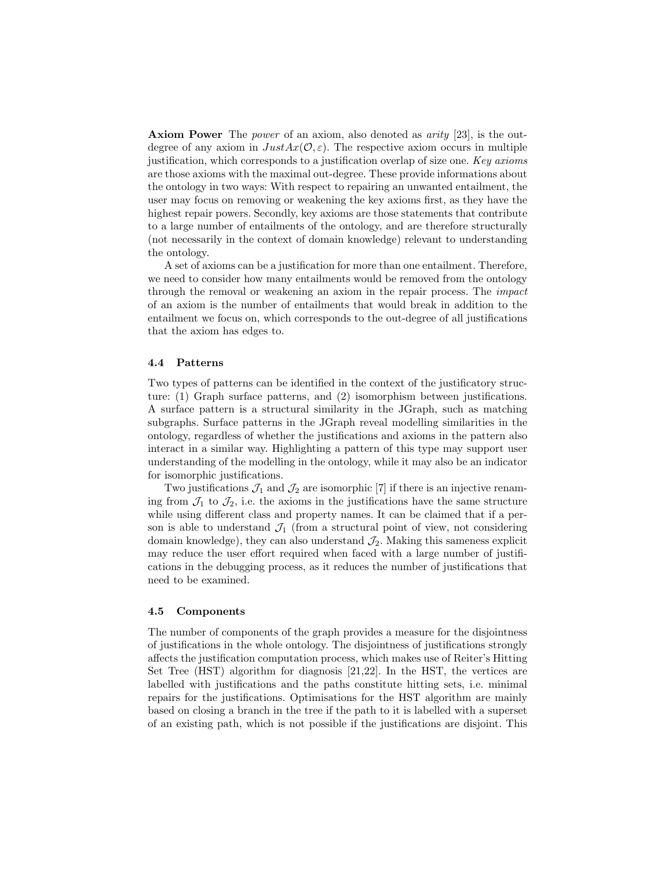Axiom Power The *power* of an axiom, also denoted as *arity* [23], is the outdegree of any axiom in  $JustAx(\mathcal{O},\varepsilon)$ . The respective axiom occurs in multiple justification, which corresponds to a justification overlap of size one. Key axioms are those axioms with the maximal out-degree. These provide informations about the ontology in two ways: With respect to repairing an unwanted entailment, the user may focus on removing or weakening the key axioms first, as they have the highest repair powers. Secondly, key axioms are those statements that contribute to a large number of entailments of the ontology, and are therefore structurally (not necessarily in the context of domain knowledge) relevant to understanding the ontology.

A set of axioms can be a justification for more than one entailment. Therefore, we need to consider how many entailments would be removed from the ontology through the removal or weakening an axiom in the repair process. The impact of an axiom is the number of entailments that would break in addition to the entailment we focus on, which corresponds to the out-degree of all justifications that the axiom has edges to.

## 4.4 Patterns

Two types of patterns can be identified in the context of the justificatory structure: (1) Graph surface patterns, and (2) isomorphism between justifications. A surface pattern is a structural similarity in the JGraph, such as matching subgraphs. Surface patterns in the JGraph reveal modelling similarities in the ontology, regardless of whether the justifications and axioms in the pattern also interact in a similar way. Highlighting a pattern of this type may support user understanding of the modelling in the ontology, while it may also be an indicator for isomorphic justifications.

Two justifications  $\mathcal{J}_1$  and  $\mathcal{J}_2$  are isomorphic [7] if there is an injective renaming from  $\mathcal{J}_1$  to  $\mathcal{J}_2$ , i.e. the axioms in the justifications have the same structure while using different class and property names. It can be claimed that if a person is able to understand  $\mathcal{J}_1$  (from a structural point of view, not considering domain knowledge), they can also understand  $\mathcal{J}_2$ . Making this sameness explicit may reduce the user effort required when faced with a large number of justifications in the debugging process, as it reduces the number of justifications that need to be examined.

#### 4.5 Components

The number of components of the graph provides a measure for the disjointness of justifications in the whole ontology. The disjointness of justifications strongly affects the justification computation process, which makes use of Reiter's Hitting Set Tree (HST) algorithm for diagnosis [21,22]. In the HST, the vertices are labelled with justifications and the paths constitute hitting sets, i.e. minimal repairs for the justifications. Optimisations for the HST algorithm are mainly based on closing a branch in the tree if the path to it is labelled with a superset of an existing path, which is not possible if the justifications are disjoint. This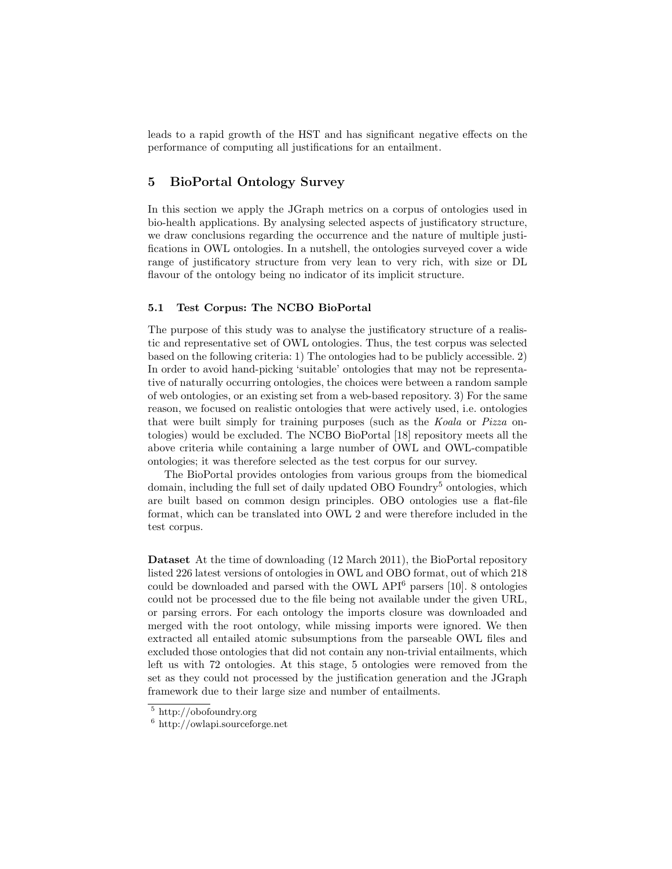leads to a rapid growth of the HST and has significant negative effects on the performance of computing all justifications for an entailment.

# 5 BioPortal Ontology Survey

In this section we apply the JGraph metrics on a corpus of ontologies used in bio-health applications. By analysing selected aspects of justificatory structure, we draw conclusions regarding the occurrence and the nature of multiple justifications in OWL ontologies. In a nutshell, the ontologies surveyed cover a wide range of justificatory structure from very lean to very rich, with size or DL flavour of the ontology being no indicator of its implicit structure.

## 5.1 Test Corpus: The NCBO BioPortal

The purpose of this study was to analyse the justificatory structure of a realistic and representative set of OWL ontologies. Thus, the test corpus was selected based on the following criteria: 1) The ontologies had to be publicly accessible. 2) In order to avoid hand-picking 'suitable' ontologies that may not be representative of naturally occurring ontologies, the choices were between a random sample of web ontologies, or an existing set from a web-based repository. 3) For the same reason, we focused on realistic ontologies that were actively used, i.e. ontologies that were built simply for training purposes (such as the Koala or Pizza ontologies) would be excluded. The NCBO BioPortal [18] repository meets all the above criteria while containing a large number of OWL and OWL-compatible ontologies; it was therefore selected as the test corpus for our survey.

The BioPortal provides ontologies from various groups from the biomedical domain, including the full set of daily updated OBO Foundry<sup>5</sup> ontologies, which are built based on common design principles. OBO ontologies use a flat-file format, which can be translated into OWL 2 and were therefore included in the test corpus.

Dataset At the time of downloading (12 March 2011), the BioPortal repository listed 226 latest versions of ontologies in OWL and OBO format, out of which 218 could be downloaded and parsed with the OWL API<sup>6</sup> parsers [10]. 8 ontologies could not be processed due to the file being not available under the given URL, or parsing errors. For each ontology the imports closure was downloaded and merged with the root ontology, while missing imports were ignored. We then extracted all entailed atomic subsumptions from the parseable OWL files and excluded those ontologies that did not contain any non-trivial entailments, which left us with 72 ontologies. At this stage, 5 ontologies were removed from the set as they could not processed by the justification generation and the JGraph framework due to their large size and number of entailments.

<sup>5</sup> http://obofoundry.org

<sup>6</sup> http://owlapi.sourceforge.net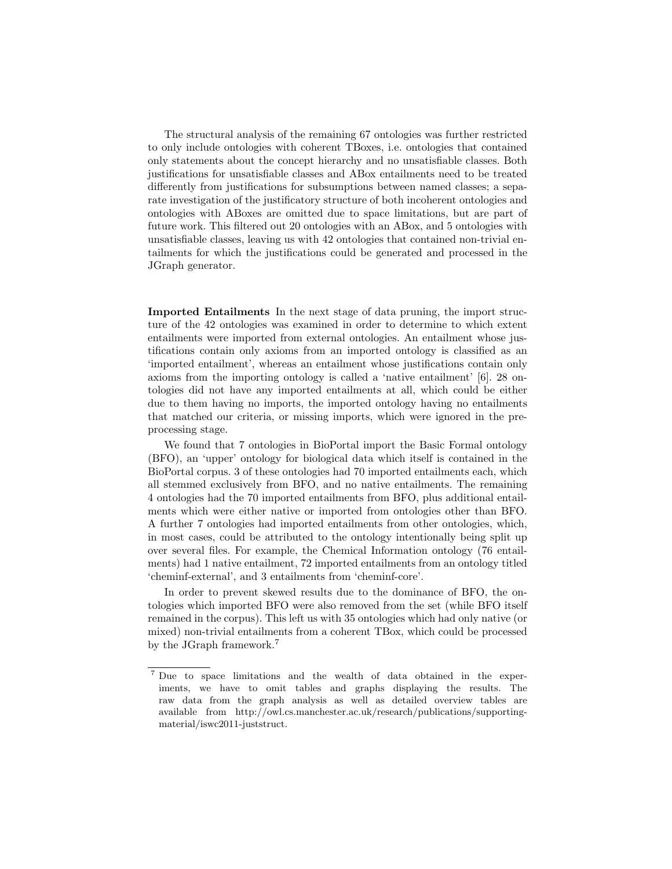The structural analysis of the remaining 67 ontologies was further restricted to only include ontologies with coherent TBoxes, i.e. ontologies that contained only statements about the concept hierarchy and no unsatisfiable classes. Both justifications for unsatisfiable classes and ABox entailments need to be treated differently from justifications for subsumptions between named classes; a separate investigation of the justificatory structure of both incoherent ontologies and ontologies with ABoxes are omitted due to space limitations, but are part of future work. This filtered out 20 ontologies with an ABox, and 5 ontologies with unsatisfiable classes, leaving us with 42 ontologies that contained non-trivial entailments for which the justifications could be generated and processed in the JGraph generator.

Imported Entailments In the next stage of data pruning, the import structure of the 42 ontologies was examined in order to determine to which extent entailments were imported from external ontologies. An entailment whose justifications contain only axioms from an imported ontology is classified as an 'imported entailment', whereas an entailment whose justifications contain only axioms from the importing ontology is called a 'native entailment' [6]. 28 ontologies did not have any imported entailments at all, which could be either due to them having no imports, the imported ontology having no entailments that matched our criteria, or missing imports, which were ignored in the preprocessing stage.

We found that 7 ontologies in BioPortal import the Basic Formal ontology (BFO), an 'upper' ontology for biological data which itself is contained in the BioPortal corpus. 3 of these ontologies had 70 imported entailments each, which all stemmed exclusively from BFO, and no native entailments. The remaining 4 ontologies had the 70 imported entailments from BFO, plus additional entailments which were either native or imported from ontologies other than BFO. A further 7 ontologies had imported entailments from other ontologies, which, in most cases, could be attributed to the ontology intentionally being split up over several files. For example, the Chemical Information ontology (76 entailments) had 1 native entailment, 72 imported entailments from an ontology titled 'cheminf-external', and 3 entailments from 'cheminf-core'.

In order to prevent skewed results due to the dominance of BFO, the ontologies which imported BFO were also removed from the set (while BFO itself remained in the corpus). This left us with 35 ontologies which had only native (or mixed) non-trivial entailments from a coherent TBox, which could be processed by the JGraph framework.<sup>7</sup>

<sup>7</sup> Due to space limitations and the wealth of data obtained in the experiments, we have to omit tables and graphs displaying the results. The raw data from the graph analysis as well as detailed overview tables are available from http://owl.cs.manchester.ac.uk/research/publications/supportingmaterial/iswc2011-juststruct.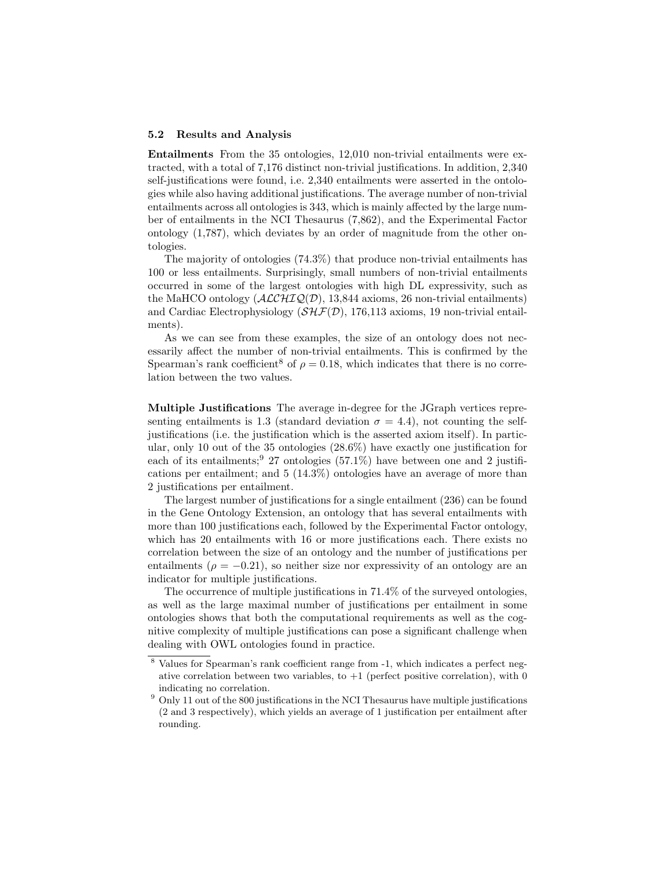#### 5.2 Results and Analysis

Entailments From the 35 ontologies, 12,010 non-trivial entailments were extracted, with a total of 7,176 distinct non-trivial justifications. In addition, 2,340 self-justifications were found, i.e. 2,340 entailments were asserted in the ontologies while also having additional justifications. The average number of non-trivial entailments across all ontologies is 343, which is mainly affected by the large number of entailments in the NCI Thesaurus (7,862), and the Experimental Factor ontology (1,787), which deviates by an order of magnitude from the other ontologies.

The majority of ontologies (74.3%) that produce non-trivial entailments has 100 or less entailments. Surprisingly, small numbers of non-trivial entailments occurred in some of the largest ontologies with high DL expressivity, such as the MaHCO ontology  $(\mathcal{ALCHIQ}(D), 13,844 \text{ axioms}, 26 \text{ non-trivial entailments})$ and Cardiac Electrophysiology  $(SHF(D), 176, 113$  axioms, 19 non-trivial entailments).

As we can see from these examples, the size of an ontology does not necessarily affect the number of non-trivial entailments. This is confirmed by the Spearman's rank coefficient<sup>8</sup> of  $\rho = 0.18$ , which indicates that there is no correlation between the two values.

Multiple Justifications The average in-degree for the JGraph vertices representing entailments is 1.3 (standard deviation  $\sigma = 4.4$ ), not counting the selfjustifications (i.e. the justification which is the asserted axiom itself). In particular, only 10 out of the 35 ontologies (28.6%) have exactly one justification for each of its entailments;  $927$  ontologies (57.1%) have between one and 2 justifications per entailment; and 5 (14.3%) ontologies have an average of more than 2 justifications per entailment.

The largest number of justifications for a single entailment (236) can be found in the Gene Ontology Extension, an ontology that has several entailments with more than 100 justifications each, followed by the Experimental Factor ontology, which has 20 entailments with 16 or more justifications each. There exists no correlation between the size of an ontology and the number of justifications per entailments ( $\rho = -0.21$ ), so neither size nor expressivity of an ontology are an indicator for multiple justifications.

The occurrence of multiple justifications in 71.4% of the surveyed ontologies, as well as the large maximal number of justifications per entailment in some ontologies shows that both the computational requirements as well as the cognitive complexity of multiple justifications can pose a significant challenge when dealing with OWL ontologies found in practice.

<sup>8</sup> Values for Spearman's rank coefficient range from -1, which indicates a perfect negative correlation between two variables, to  $+1$  (perfect positive correlation), with 0 indicating no correlation.

 $9$  Only 11 out of the 800 justifications in the NCI Thesaurus have multiple justifications (2 and 3 respectively), which yields an average of 1 justification per entailment after rounding.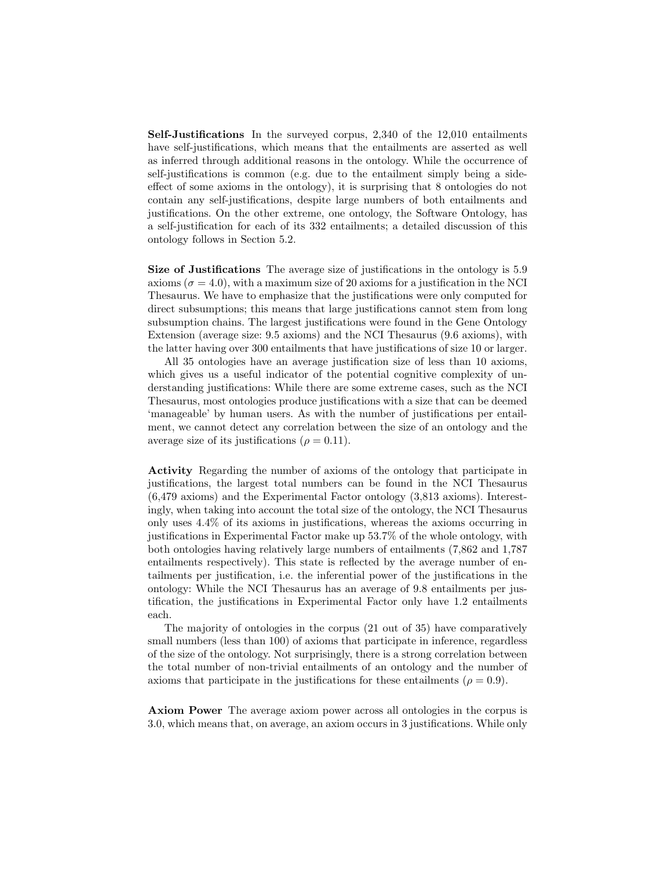Self-Justifications In the surveyed corpus, 2,340 of the 12,010 entailments have self-justifications, which means that the entailments are asserted as well as inferred through additional reasons in the ontology. While the occurrence of self-justifications is common (e.g. due to the entailment simply being a sideeffect of some axioms in the ontology), it is surprising that 8 ontologies do not contain any self-justifications, despite large numbers of both entailments and justifications. On the other extreme, one ontology, the Software Ontology, has a self-justification for each of its 332 entailments; a detailed discussion of this ontology follows in Section 5.2.

Size of Justifications The average size of justifications in the ontology is 5.9 axioms ( $\sigma = 4.0$ ), with a maximum size of 20 axioms for a justification in the NCI Thesaurus. We have to emphasize that the justifications were only computed for direct subsumptions; this means that large justifications cannot stem from long subsumption chains. The largest justifications were found in the Gene Ontology Extension (average size: 9.5 axioms) and the NCI Thesaurus (9.6 axioms), with the latter having over 300 entailments that have justifications of size 10 or larger.

All 35 ontologies have an average justification size of less than 10 axioms, which gives us a useful indicator of the potential cognitive complexity of understanding justifications: While there are some extreme cases, such as the NCI Thesaurus, most ontologies produce justifications with a size that can be deemed 'manageable' by human users. As with the number of justifications per entailment, we cannot detect any correlation between the size of an ontology and the average size of its justifications ( $\rho = 0.11$ ).

Activity Regarding the number of axioms of the ontology that participate in justifications, the largest total numbers can be found in the NCI Thesaurus (6,479 axioms) and the Experimental Factor ontology (3,813 axioms). Interestingly, when taking into account the total size of the ontology, the NCI Thesaurus only uses 4.4% of its axioms in justifications, whereas the axioms occurring in justifications in Experimental Factor make up 53.7% of the whole ontology, with both ontologies having relatively large numbers of entailments (7,862 and 1,787 entailments respectively). This state is reflected by the average number of entailments per justification, i.e. the inferential power of the justifications in the ontology: While the NCI Thesaurus has an average of 9.8 entailments per justification, the justifications in Experimental Factor only have 1.2 entailments each.

The majority of ontologies in the corpus (21 out of 35) have comparatively small numbers (less than 100) of axioms that participate in inference, regardless of the size of the ontology. Not surprisingly, there is a strong correlation between the total number of non-trivial entailments of an ontology and the number of axioms that participate in the justifications for these entailments ( $\rho = 0.9$ ).

Axiom Power The average axiom power across all ontologies in the corpus is 3.0, which means that, on average, an axiom occurs in 3 justifications. While only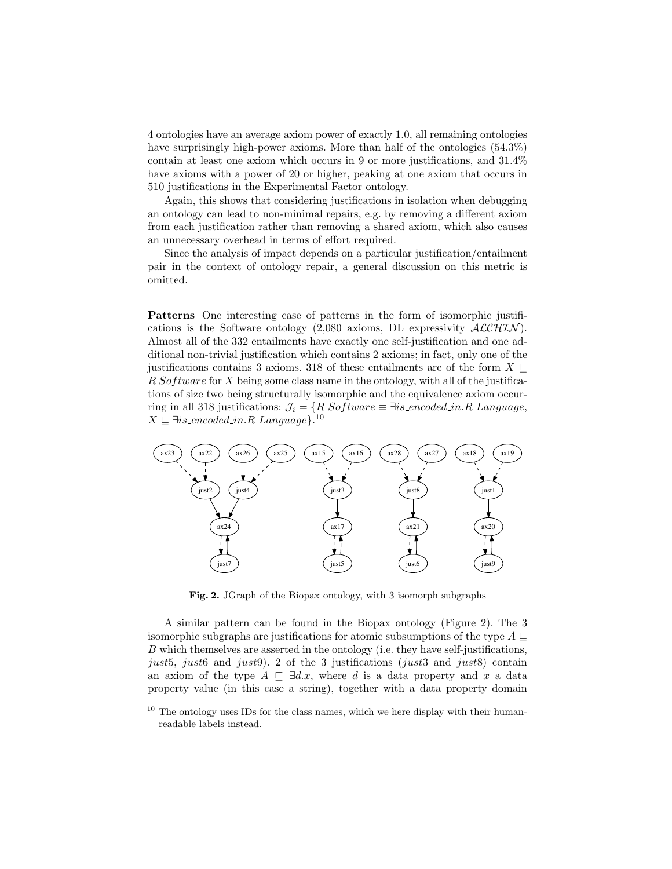4 ontologies have an average axiom power of exactly 1.0, all remaining ontologies have surprisingly high-power axioms. More than half of the ontologies  $(54.3\%)$ contain at least one axiom which occurs in 9 or more justifications, and 31.4% have axioms with a power of 20 or higher, peaking at one axiom that occurs in 510 justifications in the Experimental Factor ontology.

Again, this shows that considering justifications in isolation when debugging an ontology can lead to non-minimal repairs, e.g. by removing a different axiom from each justification rather than removing a shared axiom, which also causes an unnecessary overhead in terms of effort required.

Since the analysis of impact depends on a particular justification/entailment pair in the context of ontology repair, a general discussion on this metric is omitted.

Patterns One interesting case of patterns in the form of isomorphic justifications is the Software ontology  $(2,080 \text{ axioms}, \text{DL} \text{ expression})$ . Almost all of the 332 entailments have exactly one self-justification and one additional non-trivial justification which contains 2 axioms; in fact, only one of the justifications contains 3 axioms. 318 of these entailments are of the form  $X \sqsubset$  $R$  Software for  $X$  being some class name in the ontology, with all of the justifications of size two being structurally isomorphic and the equivalence axiom occurring in all 318 justifications:  $\mathcal{J}_i = \{R\;Software \equiv \exists is\_encoded\_in.R\;Language,$  $X \sqsubseteq \exists is\_encoded\_in.R$  Language $\}$ .<sup>10</sup>



Fig. 2. JGraph of the Biopax ontology, with 3 isomorph subgraphs

A similar pattern can be found in the Biopax ontology (Figure 2). The 3 isomorphic subgraphs are justifications for atomic subsumptions of the type  $A \sqsubset$ B which themselves are asserted in the ontology (i.e. they have self-justifications, just5, just6 and just9). 2 of the 3 justifications (just3 and just8) contain an axiom of the type  $A \subseteq \exists d.x$ , where d is a data property and x a data property value (in this case a string), together with a data property domain

 $10$  The ontology uses IDs for the class names, which we here display with their humanreadable labels instead.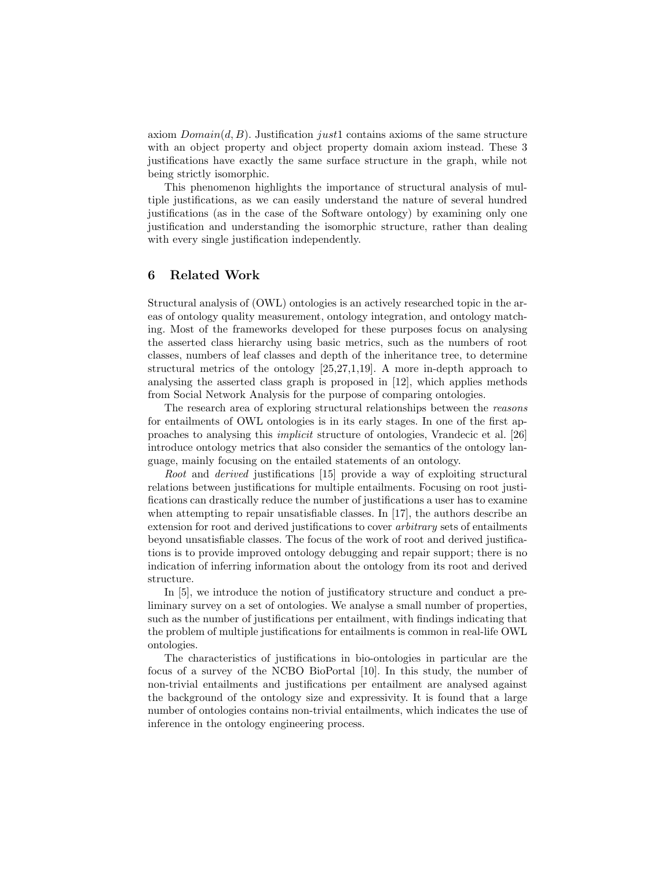axiom  $Domain(d, B)$ . Justification *just*1 contains axioms of the same structure with an object property and object property domain axiom instead. These 3 justifications have exactly the same surface structure in the graph, while not being strictly isomorphic.

This phenomenon highlights the importance of structural analysis of multiple justifications, as we can easily understand the nature of several hundred justifications (as in the case of the Software ontology) by examining only one justification and understanding the isomorphic structure, rather than dealing with every single justification independently.

# 6 Related Work

Structural analysis of (OWL) ontologies is an actively researched topic in the areas of ontology quality measurement, ontology integration, and ontology matching. Most of the frameworks developed for these purposes focus on analysing the asserted class hierarchy using basic metrics, such as the numbers of root classes, numbers of leaf classes and depth of the inheritance tree, to determine structural metrics of the ontology [25,27,1,19]. A more in-depth approach to analysing the asserted class graph is proposed in [12], which applies methods from Social Network Analysis for the purpose of comparing ontologies.

The research area of exploring structural relationships between the reasons for entailments of OWL ontologies is in its early stages. In one of the first approaches to analysing this implicit structure of ontologies, Vrandecic et al. [26] introduce ontology metrics that also consider the semantics of the ontology language, mainly focusing on the entailed statements of an ontology.

Root and derived justifications [15] provide a way of exploiting structural relations between justifications for multiple entailments. Focusing on root justifications can drastically reduce the number of justifications a user has to examine when attempting to repair unsatisfiable classes. In [17], the authors describe an extension for root and derived justifications to cover arbitrary sets of entailments beyond unsatisfiable classes. The focus of the work of root and derived justifications is to provide improved ontology debugging and repair support; there is no indication of inferring information about the ontology from its root and derived structure.

In [5], we introduce the notion of justificatory structure and conduct a preliminary survey on a set of ontologies. We analyse a small number of properties, such as the number of justifications per entailment, with findings indicating that the problem of multiple justifications for entailments is common in real-life OWL ontologies.

The characteristics of justifications in bio-ontologies in particular are the focus of a survey of the NCBO BioPortal [10]. In this study, the number of non-trivial entailments and justifications per entailment are analysed against the background of the ontology size and expressivity. It is found that a large number of ontologies contains non-trivial entailments, which indicates the use of inference in the ontology engineering process.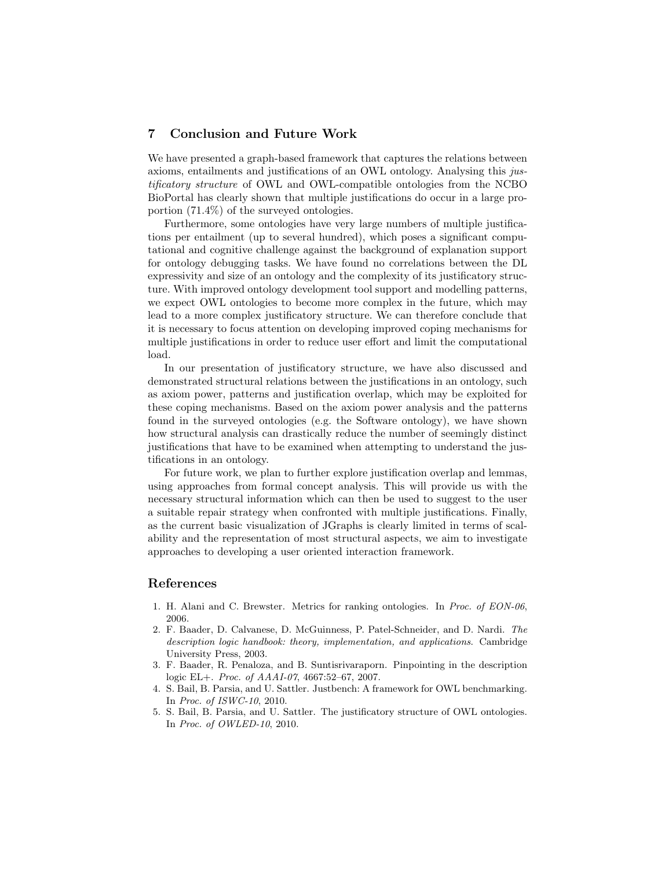# 7 Conclusion and Future Work

We have presented a graph-based framework that captures the relations between axioms, entailments and justifications of an OWL ontology. Analysing this justificatory structure of OWL and OWL-compatible ontologies from the NCBO BioPortal has clearly shown that multiple justifications do occur in a large proportion (71.4%) of the surveyed ontologies.

Furthermore, some ontologies have very large numbers of multiple justifications per entailment (up to several hundred), which poses a significant computational and cognitive challenge against the background of explanation support for ontology debugging tasks. We have found no correlations between the DL expressivity and size of an ontology and the complexity of its justificatory structure. With improved ontology development tool support and modelling patterns, we expect OWL ontologies to become more complex in the future, which may lead to a more complex justificatory structure. We can therefore conclude that it is necessary to focus attention on developing improved coping mechanisms for multiple justifications in order to reduce user effort and limit the computational load.

In our presentation of justificatory structure, we have also discussed and demonstrated structural relations between the justifications in an ontology, such as axiom power, patterns and justification overlap, which may be exploited for these coping mechanisms. Based on the axiom power analysis and the patterns found in the surveyed ontologies (e.g. the Software ontology), we have shown how structural analysis can drastically reduce the number of seemingly distinct justifications that have to be examined when attempting to understand the justifications in an ontology.

For future work, we plan to further explore justification overlap and lemmas, using approaches from formal concept analysis. This will provide us with the necessary structural information which can then be used to suggest to the user a suitable repair strategy when confronted with multiple justifications. Finally, as the current basic visualization of JGraphs is clearly limited in terms of scalability and the representation of most structural aspects, we aim to investigate approaches to developing a user oriented interaction framework.

## References

- 1. H. Alani and C. Brewster. Metrics for ranking ontologies. In Proc. of EON-06, 2006.
- 2. F. Baader, D. Calvanese, D. McGuinness, P. Patel-Schneider, and D. Nardi. The description logic handbook: theory, implementation, and applications. Cambridge University Press, 2003.
- 3. F. Baader, R. Penaloza, and B. Suntisrivaraporn. Pinpointing in the description logic EL+. Proc. of AAAI-07, 4667:52–67, 2007.
- 4. S. Bail, B. Parsia, and U. Sattler. Justbench: A framework for OWL benchmarking. In Proc. of ISWC-10, 2010.
- 5. S. Bail, B. Parsia, and U. Sattler. The justificatory structure of OWL ontologies. In Proc. of OWLED-10, 2010.